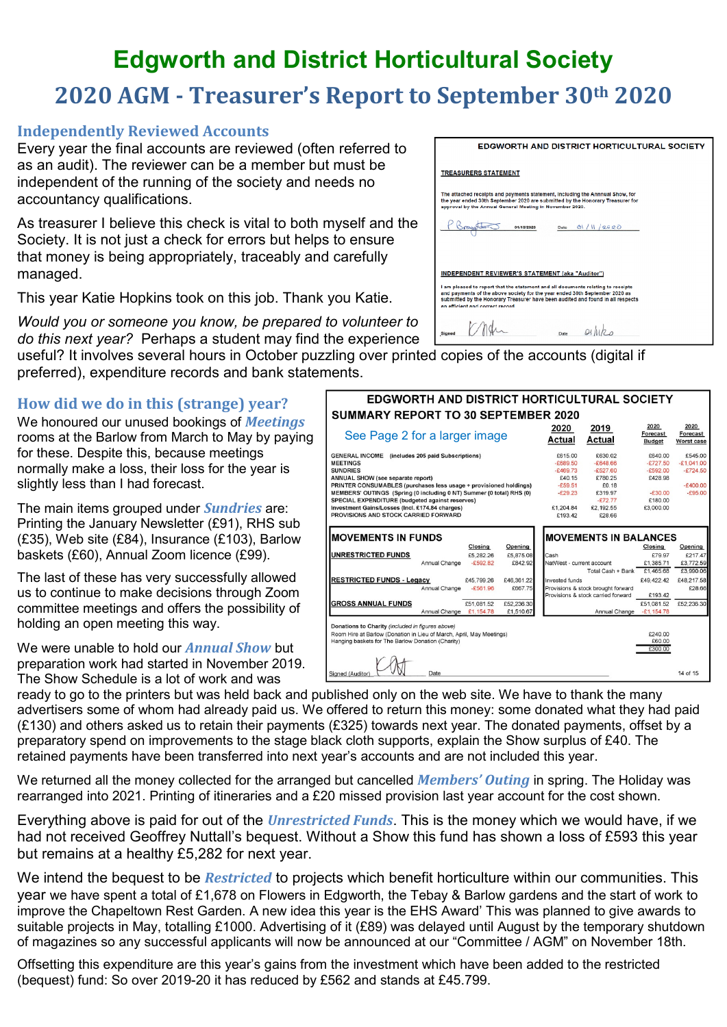## **Edgworth and District Horticultural Society 2020 AGM - Treasurer's Report to September 30th 2020**

## **Independently Reviewed Accounts**

Every year the final accounts are reviewed (often referred to as an audit). The reviewer can be a member but must be independent of the running of the society and needs no accountancy qualifications.

As treasurer I believe this check is vital to both myself and the Society. It is not just a check for errors but helps to ensure that money is being appropriately, traceably and carefully managed.

This year Katie Hopkins took on this job. Thank you Katie.

*Would you or someone you know, be prepared to volunteer to do this next year?* Perhaps a student may find the experience

useful? It involves several hours in October puzzling over printed copies of the accounts (digital if preferred), expenditure records and bank statements.

## **How did we do in this (strange) year?**

We honoured our unused bookings of *Meetings* rooms at the Barlow from March to May by paying for these. Despite this, because meetings normally make a loss, their loss for the year is slightly less than I had forecast.

The main items grouped under *Sundries* are: Printing the January Newsletter (£91), RHS sub (£35), Web site (£84), Insurance (£103), Barlow baskets (£60), Annual Zoom licence (£99).

The last of these has very successfully allowed us to continue to make decisions through Zoom committee meetings and offers the possibility of holding an open meeting this way.

We were unable to hold our *Annual Show* but preparation work had started in November 2019. The Show Schedule is a lot of work and was

| <b>EDGWORTH AND DISTRICT HORTICULTURAL SOCIETY</b>                                                                                                                                                                                                                                     |
|----------------------------------------------------------------------------------------------------------------------------------------------------------------------------------------------------------------------------------------------------------------------------------------|
| <b>TREASURERS STATEMENT</b>                                                                                                                                                                                                                                                            |
| The attached receipts and payments statement, including the Annnual Show, for<br>the year ended 30th September 2020 are submitted by the Honorary Treasurer for<br>approval by the Annual General Meeting in November 2020.                                                            |
| 81/11/2020<br>01/10/2020<br>Date                                                                                                                                                                                                                                                       |
|                                                                                                                                                                                                                                                                                        |
| <b>INDEPENDENT REVIEWER'S STATEMENT (aka "Auditor")</b>                                                                                                                                                                                                                                |
| I am pleased to report that the statement and all documents relating to receipts<br>and payments of the above society for the year ended 30th September 2020 as<br>submitted by the Honorary Treasurer have been audited and found in all respects<br>an efficient and correct record. |
| <b>Signed</b><br>Date                                                                                                                                                                                                                                                                  |

| <b>GENERAL INCOME</b> (includes 205 paid Subscriptions)<br><b>MEETINGS</b>              | £615.00                   |                                    |              |              |
|-----------------------------------------------------------------------------------------|---------------------------|------------------------------------|--------------|--------------|
|                                                                                         |                           | £630.02                            | £640.00      | £545.00      |
|                                                                                         | $-£689.50$                | $-£648.66$                         | $-£727.50$   | $-E1.041.00$ |
| <b>SUNDRIES</b>                                                                         | $-£469.73$                | $-£527.60$                         | $-£592.00$   | $-£724.50$   |
| ANNUAL SHOW (see separate report)                                                       | £40.15                    | £780.25                            | £428.98      |              |
| PRINTER CONSUMABLES (purchases less usage + provisioned holdings)                       | $-£59.51$                 | £0.18                              |              | $-£400.00$   |
| MEMBERS' OUTINGS (Spring (0 including 0 NT) Summer (0 total) RHS (0)                    | $-E29.23$                 | £319.97                            | $-£30.00$    | $-£95.00$    |
| SPECIAL EXPENDITURE (budgeted against reserves)                                         |                           | $-£72.77$                          | £180.00      |              |
| Investment Gains/Losses (Incl. £174.84 charges)<br>PROVISIONS AND STOCK CARRIED FORWARD | £1,204.84<br>£193.42      | £2.192.55<br>£28.66                | £3.000.00    |              |
| <b>IMOVEMENTS IN FUNDS</b><br><b>Closing</b><br>Opening                                 |                           | <b>MOVEMENTS IN BALANCES</b>       | Closing      | Opening      |
| <b>UNRESTRICTED FUNDS</b><br>£5,282.26<br>£5,875.08                                     | Cash                      |                                    | £79.97       | £217.47      |
| Annual Change<br>$-£592.82$<br>£842.92                                                  | NatWest - current account |                                    | £1,385.71    | £3,772.59    |
|                                                                                         |                           | Total Cash + Bank                  | £1,465.68    | £3,990.06    |
| <b>RESTRICTED FUNDS - Legacy</b><br>£45.799.26<br>£46.361.22                            | Invested funds            |                                    | £49.422.42   | £48.217.58   |
| Annual Change<br>$-£561.96$<br>£667.75                                                  |                           | Provisions & stock brought forward |              | £28.66       |
|                                                                                         |                           | Provisions & stock carried forward | £193.42      |              |
|                                                                                         |                           |                                    | £51.081.52   | £52,236.30   |
| <b>GROSS ANNUAL FUNDS</b><br>£52,236.30<br>£51.081.52                                   |                           | Annual Change                      | $-E1,154.78$ |              |

ready to go to the printers but was held back and published only on the web site. We have to thank the many advertisers some of whom had already paid us. We offered to return this money: some donated what they had paid  $(E130)$  and others asked us to retain their payments (£325) towards next year. The donated payments, offset by a preparatory spend on improvements to the stage black cloth supports, explain the Show surplus of £40. The retained payments have been transferred into next year's accounts and are not included this year.

We returned all the money collected for the arranged but cancelled *Members' Outing* in spring. The Holiday was rearranged into 2021. Printing of itineraries and a £20 missed provision last year account for the cost shown.

Everything above is paid for out of the *Unrestricted Funds*. This is the money which we would have, if we had not received Geoffrey Nuttall's bequest. Without a Show this fund has shown a loss of £593 this year but remains at a healthy £5,282 for next year.

We intend the bequest to be *Restricted* to projects which benefit horticulture within our communities. This year we have spent a total of £1,678 on Flowers in Edgworth, the Tebay & Barlow gardens and the start of work to improve the Chapeltown Rest Garden. A new idea this year is the EHS Award' This was planned to give awards to suitable projects in May, totalling £1000. Advertising of it (£89) was delayed until August by the temporary shutdown of magazines so any successful applicants will now be announced at our "Committee / AGM" on November 18th.

Offsetting this expenditure are this year's gains from the investment which have been added to the restricted (bequest) fund: So over 2019-20 it has reduced by £562 and stands at £45.799.